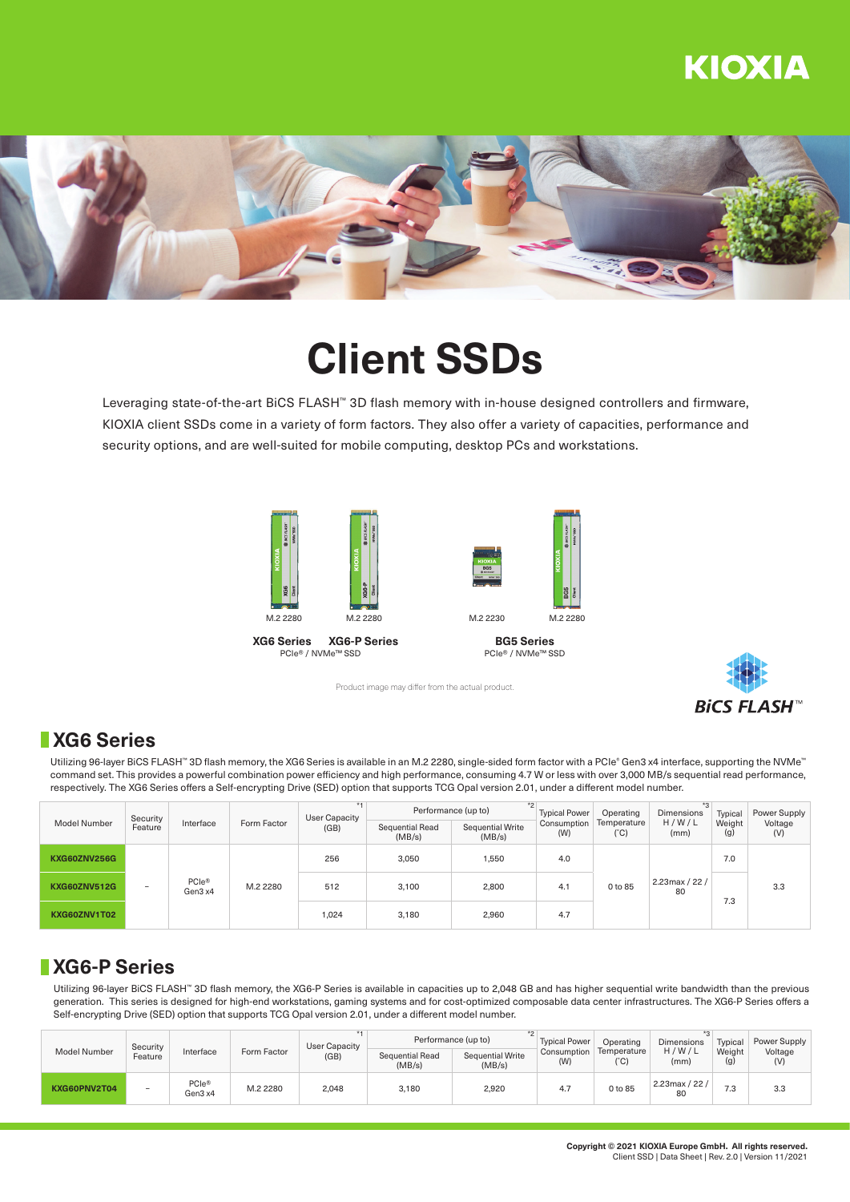## **KIOXIA**



# **Client SSDs**

Leveraging state-of-the-art BiCS FLASH™ 3D flash memory with in-house designed controllers and firmware, KIOXIA client SSDs come in a variety of form factors. They also offer a variety of capacities, performance and security options, and are well-suited for mobile computing, desktop PCs and workstations.





**BG5 Series** PCIe® / NVMe™ SSD



Product image may differ from the actual product.

### **XG6 Series**

Utilizing 96-layer BiCS FLASH™ 3D flash memory, the XG6 Series is available in an M.2 2280, single-sided form factor with a PCIe® Gen3 x4 interface, supporting the NVMe™ command set. This provides a powerful combination power efficiency and high performance, consuming 4.7 W or less with over 3,000 MB/s sequential read performance, respectively. The XG6 Series offers a Self-encrypting Drive (SED) option that supports TCG Opal version 2.01, under a different model number.

| <b>Model Number</b> | Security<br>Feature | Interface                    | Form Factor | User Capacity<br>(GB) | $*$<br>Performance (up to) |                            | <b>Typical Power</b> | Operating                    | Dimensions           | Typical       | Power Supply   |
|---------------------|---------------------|------------------------------|-------------|-----------------------|----------------------------|----------------------------|----------------------|------------------------------|----------------------|---------------|----------------|
|                     |                     |                              |             |                       | Sequential Read<br>(MB/s)  | Sequential Write<br>(MB/s) | Consumption<br>(W)   | Temperature<br>$(^{\circ}C)$ | H/W/L<br>(mm)        | Weight<br>(g) | Voltage<br>(V) |
| KXG60ZNV256G        | -                   | PCIe <sup>®</sup><br>Gen3 x4 | M.2 2280    | 256                   | 3.050                      | 1,550                      | 4.0                  | 0 to 85                      | 2.23max / 22 /<br>80 | 7.0           | 3.3            |
| <b>KXG60ZNV512G</b> |                     |                              |             | 512                   | 3.100                      | 2,800                      | 4.1                  |                              |                      | 7.3           |                |
| KXG60ZNV1T02        |                     |                              |             | 1,024                 | 3.180                      | 2,960                      | 4.7                  |                              |                      |               |                |

#### **XG6-P Series**

Utilizing 96-layer BiCS FLASH™ 3D flash memory, the XG6-P Series is available in capacities up to 2,048 GB and has higher sequential write bandwidth than the previous generation. This series is designed for high-end workstations, gaming systems and for cost-optimized composable data center infrastructures. The XG6-P Series offers a Self-encrypting Drive (SED) option that supports TCG Opal version 2.01, under a different model number.

| Model Number | Security<br>Feature      | Interface                    | Form Factor | User Capacity<br>(GB) | Performance (up to)       | <b>Typical Power</b>       | Operating          | Dimensions          | Typical                 | Power Supply  |                |
|--------------|--------------------------|------------------------------|-------------|-----------------------|---------------------------|----------------------------|--------------------|---------------------|-------------------------|---------------|----------------|
|              |                          |                              |             |                       | Sequential Read<br>(MB/s) | Sequential Write<br>(MB/s) | Consumption<br>(W) | Temperature<br>(°C) | H/W/L<br>(mm)           | Weight<br>(g) | Voltage<br>(V) |
| KXG60PNV2T04 | $\overline{\phantom{a}}$ | PCIe <sup>®</sup><br>Gen3 x4 | M.2 2280    | 2,048                 | 3,180                     | 2,920                      | 4.7                | 0 to 85             | $2.23$ max / 22 /<br>80 | 7.3           | 3.3            |